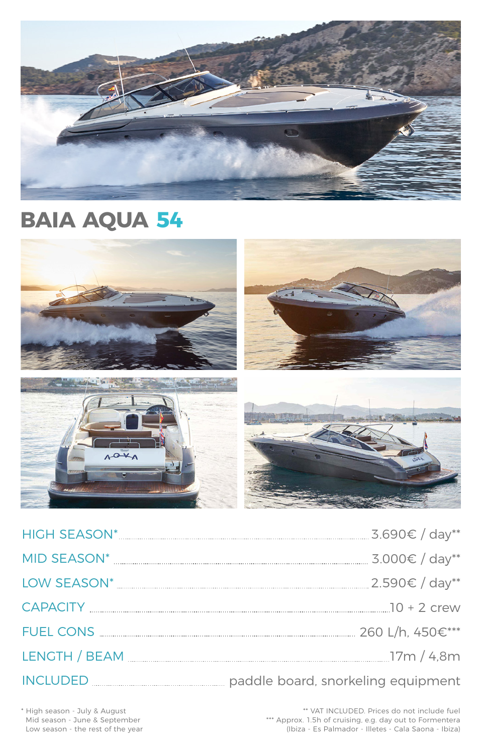| <b>HIGH SEASON*</b> | 5.690€ / day**   |  |
|---------------------|------------------|--|
| MID SEASON*         | $3.000€ / day**$ |  |



| _<br>_<br>$-$<br>.<br>___ | ∼ |  |  |
|---------------------------|---|--|--|
|---------------------------|---|--|--|

FUEL CONS 260 L/h, 450€\*\*\*

LENGTH / BEAM 17m / 4,8m

# INCLUDED paddle board, snorkeling equipment

\*\* VAT INCLUDED. Prices do not include fuel \*\*\* Approx. 1.5h of cruising, e.g. day out to Formentera (Ibiza - Es Palmador - Illetes - Cala Saona - Ibiza)

\* High season - July & August Mid season - June & September Low season - the rest of the year



# **BAIA AQUA 54**